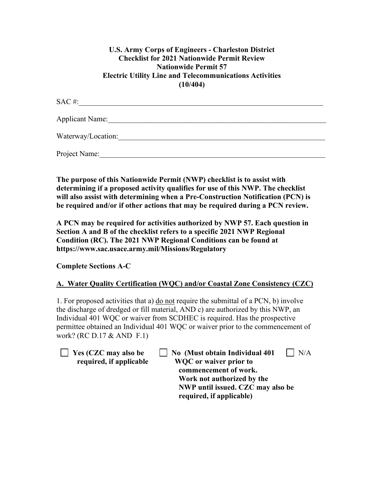# **U.S. Army Corps of Engineers - Charleston District Checklist for 2021 Nationwide Permit Review Nationwide Permit 57 Electric Utility Line and Telecommunications Activities (10/404)**

| SAC#:                  |  |
|------------------------|--|
| <b>Applicant Name:</b> |  |
| Waterway/Location:     |  |
| Project Name:          |  |

**The purpose of this Nationwide Permit (NWP) checklist is to assist with determining if a proposed activity qualifies for use of this NWP. The checklist will also assist with determining when a Pre-Construction Notification (PCN) is be required and/or if other actions that may be required during a PCN review.**

**A PCN may be required for activities authorized by NWP 57. Each question in Section A and B of the checklist refers to a specific 2021 NWP Regional Condition (RC). The 2021 NWP Regional Conditions can be found at https://www.sac.usace.army.mil/Missions/Regulatory**

**Complete Sections A-C**

# **A. Water Quality Certification (WQC) and/or Coastal Zone Consistency (CZC)**

1. For proposed activities that a) do not require the submittal of a PCN, b) involve the discharge of dredged or fill material, AND c) are authorized by this NWP, an Individual 401 WQC or waiver from SCDHEC is required. Has the prospective permittee obtained an Individual 401 WQC or waiver prior to the commencement of work? (RC D.17 & AND F.1)

**The Ves (CZC may also be Also CAUSE 1)** No (Must obtain Individual 401 | N/A  **required, if applicable WQC or waiver prior to commencement of work. Work not authorized by the NWP until issued. CZC may also be required, if applicable)**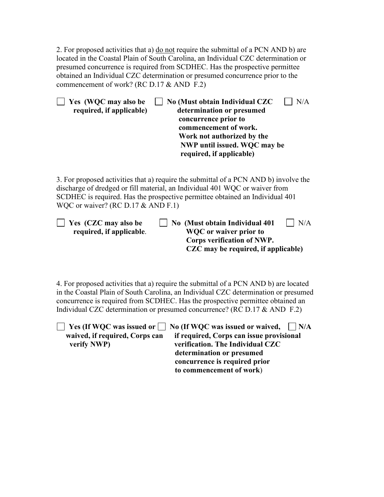2. For proposed activities that a) do not require the submittal of a PCN AND b) are located in the Coastal Plain of South Carolina, an Individual CZC determination or presumed concurrence is required from SCDHEC. Has the prospective permittee obtained an Individual CZC determination or presumed concurrence prior to the commencement of work? (RC D.17 & AND F.2)

| Yes (WQC may also be<br>required, if applicable) | No (Must obtain Individual CZC<br>N/A<br>determination or presumed<br>concurrence prior to<br>commencement of work.<br>Work not authorized by the<br>NWP until issued. WQC may be<br>required, if applicable)                                       |
|--------------------------------------------------|-----------------------------------------------------------------------------------------------------------------------------------------------------------------------------------------------------------------------------------------------------|
| WQC or waiver? (RC D.17 & AND F.1)               | 3. For proposed activities that a) require the submittal of a PCN AND b) involve the<br>discharge of dredged or fill material, an Individual 401 WQC or waiver from<br>SCDHEC is required. Has the prospective permittee obtained an Individual 401 |
| Yes (CZC may also be<br>required, if applicable. | No (Must obtain Individual 401<br>N/A<br><b>WQC</b> or waiver prior to<br>Corps verification of NWP.<br>CZC may be required, if applicable)                                                                                                         |

4. For proposed activities that a) require the submittal of a PCN AND b) are located in the Coastal Plain of South Carolina, an Individual CZC determination or presumed concurrence is required from SCDHEC. Has the prospective permittee obtained an Individual CZC determination or presumed concurrence? (RC D.17 & AND F.2)

|                                | $\Box$ Yes (If WQC was issued or $\Box$ No (If WQC was issued or waived, $\Box$ N/A |
|--------------------------------|-------------------------------------------------------------------------------------|
| waived, if required, Corps can | if required, Corps can issue provisional                                            |
| verify NWP)                    | verification. The Individual CZC                                                    |
|                                | determination or presumed                                                           |
|                                | concurrence is required prior                                                       |
|                                | to commencement of work)                                                            |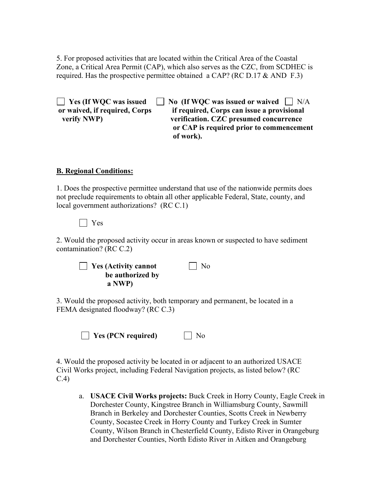5. For proposed activities that are located within the Critical Area of the Coastal Zone, a Critical Area Permit (CAP), which also serves as the CZC, from SCDHEC is required. Has the prospective permittee obtained a CAP? (RC D.17  $\&$  AND F.3)

**T** Yes (If WOC was issued **No** (If WOC was issued or waived **N** N/A **or waived, if required, Corps if required, Corps can issue a provisional verify NWP) verification. CZC presumed concurrence or CAP is required prior to commencement of work).**

#### **B. Regional Conditions:**

1. Does the prospective permittee understand that use of the nationwide permits does not preclude requirements to obtain all other applicable Federal, State, county, and local government authorizations? (RC C.1)

Yes

2. Would the proposed activity occur in areas known or suspected to have sediment contamination? (RC C.2)

| | **Yes (Activity cannot** | | No  **be authorized by a NWP)** 

3. Would the proposed activity, both temporary and permanent, be located in a FEMA designated floodway? (RC C.3)

**Yes (PCN required)** No

4. Would the proposed activity be located in or adjacent to an authorized USACE Civil Works project, including Federal Navigation projects, as listed below? (RC C.4)

a. **USACE Civil Works projects:** Buck Creek in Horry County, Eagle Creek in Dorchester County, Kingstree Branch in Williamsburg County, Sawmill Branch in Berkeley and Dorchester Counties, Scotts Creek in Newberry County, Socastee Creek in Horry County and Turkey Creek in Sumter County, Wilson Branch in Chesterfield County, Edisto River in Orangeburg and Dorchester Counties, North Edisto River in Aitken and Orangeburg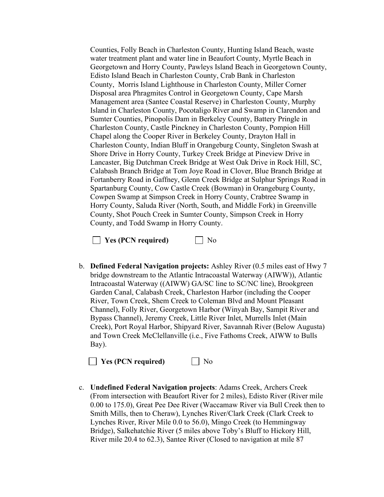Counties, Folly Beach in Charleston County, Hunting Island Beach, waste water treatment plant and water line in Beaufort County, Myrtle Beach in Georgetown and Horry County, Pawleys Island Beach in Georgetown County, Edisto Island Beach in Charleston County, Crab Bank in Charleston County, Morris Island Lighthouse in Charleston County, Miller Corner Disposal area Phragmites Control in Georgetown County, Cape Marsh Management area (Santee Coastal Reserve) in Charleston County, Murphy Island in Charleston County, Pocotaligo River and Swamp in Clarendon and Sumter Counties, Pinopolis Dam in Berkeley County, Battery Pringle in Charleston County, Castle Pinckney in Charleston County, Pompion Hill Chapel along the Cooper River in Berkeley County, Drayton Hall in Charleston County, Indian Bluff in Orangeburg County, Singleton Swash at Shore Drive in Horry County, Turkey Creek Bridge at Pineview Drive in Lancaster, Big Dutchman Creek Bridge at West Oak Drive in Rock Hill, SC, Calabash Branch Bridge at Tom Joye Road in Clover, Blue Branch Bridge at Fortanberry Road in Gaffney, Glenn Creek Bridge at Sulphur Springs Road in Spartanburg County, Cow Castle Creek (Bowman) in Orangeburg County, Cowpen Swamp at Simpson Creek in Horry County, Crabtree Swamp in Horry County, Saluda River (North, South, and Middle Fork) in Greenville County, Shot Pouch Creek in Sumter County, Simpson Creek in Horry County, and Todd Swamp in Horry County.

**Yes (PCN required)** No

b. **Defined Federal Navigation projects:** Ashley River (0.5 miles east of Hwy 7 bridge downstream to the Atlantic Intracoastal Waterway (AIWW)), Atlantic Intracoastal Waterway ((AIWW) GA/SC line to SC/NC line), Brookgreen Garden Canal, Calabash Creek, Charleston Harbor (including the Cooper River, Town Creek, Shem Creek to Coleman Blvd and Mount Pleasant Channel), Folly River, Georgetown Harbor (Winyah Bay, Sampit River and Bypass Channel), Jeremy Creek, Little River Inlet, Murrells Inlet (Main Creek), Port Royal Harbor, Shipyard River, Savannah River (Below Augusta) and Town Creek McClellanville (i.e., Five Fathoms Creek, AIWW to Bulls Bay).

**No** Yes (PCN required) Mo

c. **Undefined Federal Navigation projects**: Adams Creek, Archers Creek (From intersection with Beaufort River for 2 miles), Edisto River (River mile 0.00 to 175.0), Great Pee Dee River (Waccamaw River via Bull Creek then to Smith Mills, then to Cheraw), Lynches River/Clark Creek (Clark Creek to Lynches River, River Mile 0.0 to 56.0), Mingo Creek (to Hemmingway Bridge), Salkehatchie River (5 miles above Toby's Bluff to Hickory Hill, River mile 20.4 to 62.3), Santee River (Closed to navigation at mile 87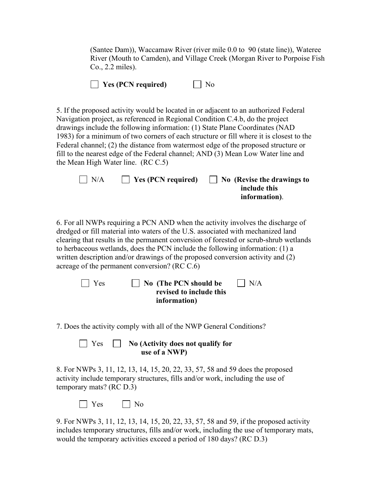(Santee Dam)), Waccamaw River (river mile 0.0 to 90 (state line)), Wateree River (Mouth to Camden), and Village Creek (Morgan River to Porpoise Fish Co., 2.2 miles).

|  | $\Box$ Yes (PCN required) |  | $\Box$ No |
|--|---------------------------|--|-----------|
|--|---------------------------|--|-----------|

5. If the proposed activity would be located in or adjacent to an authorized Federal Navigation project, as referenced in Regional Condition C.4.b, do the project drawings include the following information: (1) State Plane Coordinates (NAD 1983) for a minimum of two corners of each structure or fill where it is closest to the Federal channel; (2) the distance from watermost edge of the proposed structure or fill to the nearest edge of the Federal channel; AND (3) Mean Low Water line and the Mean High Water line. (RC C.5)

| $\vert$ $\vert$ N/A | $\vert$ Yes (PCN required) | $\vert$ No (Revise the drawings to |
|---------------------|----------------------------|------------------------------------|
|                     |                            | include this                       |
|                     |                            | information).                      |

6. For all NWPs requiring a PCN AND when the activity involves the discharge of dredged or fill material into waters of the U.S. associated with mechanized land clearing that results in the permanent conversion of forested or scrub-shrub wetlands to herbaceous wetlands, does the PCN include the following information: (1) a written description and/or drawings of the proposed conversion activity and (2) acreage of the permanent conversion? (RC C.6)

| $\Box$ Yes | $\vert$ No (The PCN should be | $\vert$ $\vert$ N/A |
|------------|-------------------------------|---------------------|
|            | revised to include this       |                     |
|            | information)                  |                     |

7. Does the activity comply with all of the NWP General Conditions?

| $\Box$ Yes | $\Box$ No (Activity does not qualify for |
|------------|------------------------------------------|
|            | use of a NWP)                            |

8. For NWPs 3, 11, 12, 13, 14, 15, 20, 22, 33, 57, 58 and 59 does the proposed activity include temporary structures, fills and/or work, including the use of temporary mats? (RC D.3)

 $\Box$  Yes  $\Box$  No

9. For NWPs 3, 11, 12, 13, 14, 15, 20, 22, 33, 57, 58 and 59, if the proposed activity includes temporary structures, fills and/or work, including the use of temporary mats, would the temporary activities exceed a period of 180 days? (RC D.3)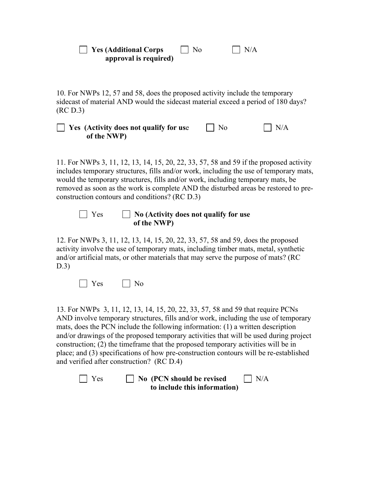**T** Yes (Additional Corps  $\Box$  No  $\Box$  N/A **approval is required)**

10. For NWPs 12, 57 and 58, does the proposed activity include the temporary sidecast of material AND would the sidecast material exceed a period of 180 days? (RC D.3)

 $\Box$  Yes (Activity does not qualify for use  $\Box$  No  $\Box$  N/A **of the NWP)** 

11. For NWPs 3, 11, 12, 13, 14, 15, 20, 22, 33, 57, 58 and 59 if the proposed activity includes temporary structures, fills and/or work, including the use of temporary mats, would the temporary structures, fills and/or work, including temporary mats, be removed as soon as the work is complete AND the disturbed areas be restored to preconstruction contours and conditions? (RC D.3)



## Yes **No (Activity does not qualify for use of the NWP)**

12. For NWPs 3, 11, 12, 13, 14, 15, 20, 22, 33, 57, 58 and 59, does the proposed activity involve the use of temporary mats, including timber mats, metal, synthetic and/or artificial mats, or other materials that may serve the purpose of mats? (RC D.3)



13. For NWPs 3, 11, 12, 13, 14, 15, 20, 22, 33, 57, 58 and 59 that require PCNs AND involve temporary structures, fills and/or work, including the use of temporary mats, does the PCN include the following information: (1) a written description and/or drawings of the proposed temporary activities that will be used during project construction; (2) the timeframe that the proposed temporary activities will be in place; and (3) specifications of how pre-construction contours will be re-established and verified after construction? (RC D.4)

| $\Box$ Yes | $\Box$ No (PCN should be revised | $\Box$ N/A |
|------------|----------------------------------|------------|
|            | to include this information)     |            |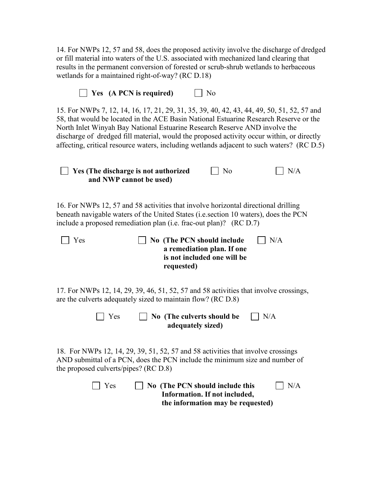14. For NWPs 12, 57 and 58, does the proposed activity involve the discharge of dredged or fill material into waters of the U.S. associated with mechanized land clearing that results in the permanent conversion of forested or scrub-shrub wetlands to herbaceous wetlands for a maintained right-of-way? (RC D.18)

| Yes (A PCN is required)<br>No                                                                                                                                                                                                                                                                                                                                                                                                                               |
|-------------------------------------------------------------------------------------------------------------------------------------------------------------------------------------------------------------------------------------------------------------------------------------------------------------------------------------------------------------------------------------------------------------------------------------------------------------|
| 15. For NWPs 7, 12, 14, 16, 17, 21, 29, 31, 35, 39, 40, 42, 43, 44, 49, 50, 51, 52, 57 and<br>58, that would be located in the ACE Basin National Estuarine Research Reserve or the<br>North Inlet Winyah Bay National Estuarine Research Reserve AND involve the<br>discharge of dredged fill material, would the proposed activity occur within, or directly<br>affecting, critical resource waters, including wetlands adjacent to such waters? (RC D.5) |
| N/A<br>Yes (The discharge is not authorized<br>No<br>and NWP cannot be used)                                                                                                                                                                                                                                                                                                                                                                                |
| 16. For NWPs 12, 57 and 58 activities that involve horizontal directional drilling<br>beneath navigable waters of the United States (i.e. section 10 waters), does the PCN<br>include a proposed remediation plan (i.e. frac-out plan)? (RC D.7)                                                                                                                                                                                                            |
| Yes<br>No (The PCN should include<br>N/A<br>a remediation plan. If one<br>is not included one will be<br>requested)                                                                                                                                                                                                                                                                                                                                         |
| 17. For NWPs 12, 14, 29, 39, 46, 51, 52, 57 and 58 activities that involve crossings,<br>are the culverts adequately sized to maintain flow? (RC D.8)                                                                                                                                                                                                                                                                                                       |
| Yes<br>No (The culverts should be<br>N/A<br>adequately sized)                                                                                                                                                                                                                                                                                                                                                                                               |
| 18. For NWPs 12, 14, 29, 39, 51, 52, 57 and 58 activities that involve crossings<br>AND submittal of a PCN, does the PCN include the minimum size and number of<br>the proposed culverts/pipes? (RC D.8)                                                                                                                                                                                                                                                    |
| Yes<br>No (The PCN should include this<br>N/A<br>Information. If not included,<br>the information may be requested)                                                                                                                                                                                                                                                                                                                                         |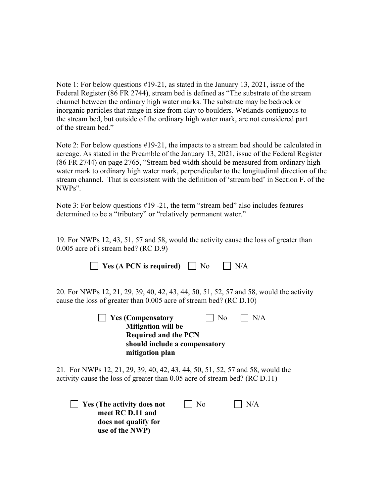Note 1: For below questions #19-21, as stated in the January 13, 2021, issue of the Federal Register (86 FR 2744), stream bed is defined as "The substrate of the stream channel between the ordinary high water marks. The substrate may be bedrock or inorganic particles that range in size from clay to boulders. Wetlands contiguous to the stream bed, but outside of the ordinary high water mark, are not considered part of the stream bed."

Note 2: For below questions #19-21, the impacts to a stream bed should be calculated in acreage. As stated in the Preamble of the January 13, 2021, issue of the Federal Register (86 FR 2744) on page 2765, "Stream bed width should be measured from ordinary high water mark to ordinary high water mark, perpendicular to the longitudinal direction of the stream channel. That is consistent with the definition of 'stream bed' in Section F. of the NWPs".

Note 3: For below questions #19 -21, the term "stream bed" also includes features determined to be a "tributary" or "relatively permanent water."

19. For NWPs 12, 43, 51, 57 and 58, would the activity cause the loss of greater than 0.005 acre of i stream bed? (RC D.9)

| Yes (A PCN is required)                                                                                                                                       | N <sub>0</sub> |    | N/A |
|---------------------------------------------------------------------------------------------------------------------------------------------------------------|----------------|----|-----|
| 20. For NWPs 12, 21, 29, 39, 40, 42, 43, 44, 50, 51, 52, 57 and 58, would the activity<br>cause the loss of greater than 0.005 acre of stream bed? (RC D.10)  |                |    |     |
| <b>Yes (Compensatory</b><br><b>Mitigation will be</b><br><b>Required and the PCN</b><br>should include a compensatory<br>mitigation plan                      |                | No | N/A |
| 21. For NWPs 12, 21, 29, 39, 40, 42, 43, 44, 50, 51, 52, 57 and 58, would the<br>activity cause the loss of greater than $0.05$ acre of stream bed? (RC D.11) |                |    |     |
| <b>Yes (The activity does not</b><br>meet RC D.11 and<br>does not qualify for<br>use of the NWP)                                                              | No             |    | N/A |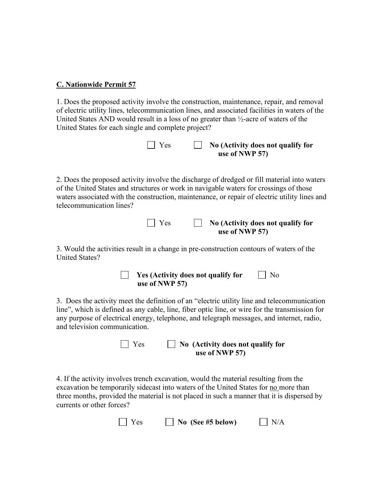### **C. Nationwide Permit 57**

1. Does the proposed activity involve the construction, maintenance, repair, and removal of electric utility lines, telecommunication lines, and associated facilities in waters of the United States AND would result in a loss of no greater than ½-acre of waters of the United States for each single and complete project?

| $\vert$ Yes | $\Box$ No (Activity does not qualify for |
|-------------|------------------------------------------|
|             | use of NWP 57)                           |

2. Does the proposed activity involve the discharge of dredged or fill material into waters of the United States and structures or work in navigable waters for crossings of those waters associated with the construction, maintenance, or repair of electric utility lines and telecommunication lines?

| $\vert$ Yes | $\Box$ No (Activity does not qualify for |
|-------------|------------------------------------------|
|             | use of NWP 57)                           |

3. Would the activities result in a change in pre-construction contours of waters of the United States?

| Yes (Activity does not qualify for | $\Box$ No |
|------------------------------------|-----------|
| use of NWP 57)                     |           |

3. Does the activity meet the definition of an "electric utility line and telecommunication line", which is defined as any cable, line, fiber optic line, or wire for the transmission for any purpose of electrical energy, telephone, and telegraph messages, and internet, radio, and television communication.

 Yes **No (Activity does not qualify for use of NWP 57)**

4. If the activity involves trench excavation, would the material resulting from the excavation be temporarily sidecast into waters of the United States for no more than three months, provided the material is not placed in such a manner that it is dispersed by currents or other forces?

| $\Box$ Yes<br>N/A<br>$\Box$ No (See #5 below) |
|-----------------------------------------------|
|-----------------------------------------------|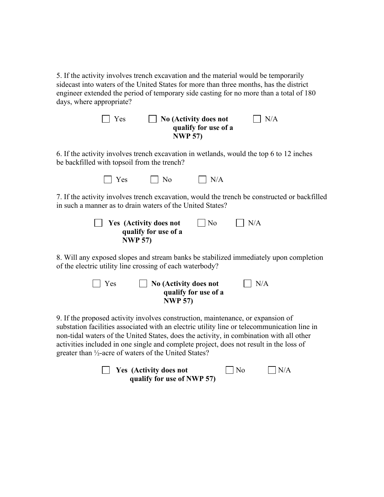5. If the activity involves trench excavation and the material would be temporarily sidecast into waters of the United States for more than three months, has the district engineer extended the period of temporary side casting for no more than a total of 180 days, where appropriate?

| $\Box$ Yes | $\Box$ No (Activity does not | $\vert$ $\vert$ N/A |
|------------|------------------------------|---------------------|
|            | qualify for use of a         |                     |
|            | <b>NWP 57)</b>               |                     |

6. If the activity involves trench excavation in wetlands, would the top 6 to 12 inches be backfilled with topsoil from the trench?

| $\Box$ Yes | $\Box$ No | $\Box$ N/A |
|------------|-----------|------------|
|------------|-----------|------------|

7. If the activity involves trench excavation, would the trench be constructed or backfilled in such a manner as to drain waters of the United States?

| $\vert$ Yes (Activity does not | $\vert$   No | $\Box$ N/A |
|--------------------------------|--------------|------------|
| qualify for use of a           |              |            |
| <b>NWP 57)</b>                 |              |            |

8. Will any exposed slopes and stream banks be stabilized immediately upon completion of the electric utility line crossing of each waterbody?

| $\vert$ Yes | $\Box$ No (Activity does not | $\vert$ $\vert$ N/A |
|-------------|------------------------------|---------------------|
|             | qualify for use of a         |                     |
|             | <b>NWP 57)</b>               |                     |

9. If the proposed activity involves construction, maintenance, or expansion of substation facilities associated with an electric utility line or telecommunication line in non-tidal waters of the United States, does the activity, in combination with all other activities included in one single and complete project, does not result in the loss of greater than ½-acre of waters of the United States?

| <b>Example 3 Yes</b> (Activity does not | $\Box$ No | N/A |
|-----------------------------------------|-----------|-----|
| qualify for use of NWP 57)              |           |     |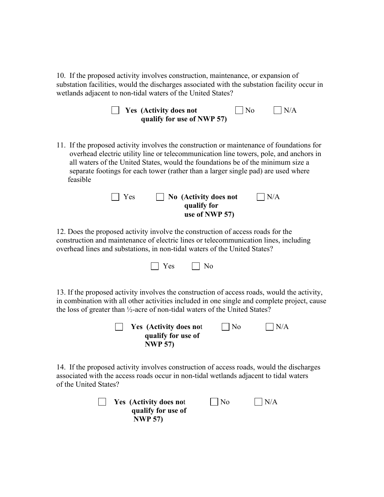10. If the proposed activity involves construction, maintenance, or expansion of substation facilities, would the discharges associated with the substation facility occur in wetlands adjacent to non-tidal waters of the United States?

|  | <b>Nes</b> (Activity does not | $\Box$ No | $\Box$ N/A |
|--|-------------------------------|-----------|------------|
|  | qualify for use of NWP 57)    |           |            |

11. If the proposed activity involves the construction or maintenance of foundations for overhead electric utility line or telecommunication line towers, pole, and anchors in all waters of the United States, would the foundations be of the minimum size a separate footings for each tower (rather than a larger single pad) are used where feasible



12. Does the proposed activity involve the construction of access roads for the construction and maintenance of electric lines or telecommunication lines, including overhead lines and substations, in non-tidal waters of the United States?

|  | $\Box$ Yes | $\Box$ No |
|--|------------|-----------|
|--|------------|-----------|

13. If the proposed activity involves the construction of access roads, would the activity, in combination with all other activities included in one single and complete project, cause the loss of greater than ½-acre of non-tidal waters of the United States?

| Yes (Activity does not | $\vert$   No | $\bigcap N/A$ |
|------------------------|--------------|---------------|
| qualify for use of     |              |               |
| <b>NWP 57)</b>         |              |               |

14. If the proposed activity involves construction of access roads, would the discharges associated with the access roads occur in non-tidal wetlands adjacent to tidal waters of the United States?

| <b>Yes</b> (Activity does not | $\vert$   No | $\vert$ $\vert$ N/A |
|-------------------------------|--------------|---------------------|
| qualify for use of            |              |                     |
| <b>NWP 57)</b>                |              |                     |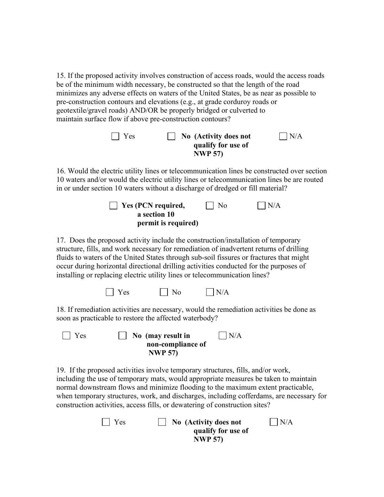15. If the proposed activity involves construction of access roads, would the access roads be of the minimum width necessary, be constructed so that the length of the road minimizes any adverse effects on waters of the United States, be as near as possible to pre-construction contours and elevations (e.g., at grade corduroy roads or geotextile/gravel roads) AND/OR be properly bridged or culverted to maintain surface flow if above pre-construction contours?

| $\vert \vert$ Yes | $\vert$ No (Activity does not        | N/A |
|-------------------|--------------------------------------|-----|
|                   | qualify for use of<br><b>NWP 57)</b> |     |
|                   |                                      |     |

16. Would the electric utility lines or telecommunication lines be constructed over section 10 waters and/or would the electric utility lines or telecommunication lines be are routed in or under section 10 waters without a discharge of dredged or fill material?

| $\vert$ Yes (PCN required, | $\overline{\phantom{0}}$ No | $\vert N/A$ |
|----------------------------|-----------------------------|-------------|
| a section 10               |                             |             |
| permit is required)        |                             |             |

17. Does the proposed activity include the construction/installation of temporary structure, fills, and work necessary for remediation of inadvertent returns of drilling fluids to waters of the United States through sub-soil fissures or fractures that might occur during horizontal directional drilling activities conducted for the purposes of installing or replacing electric utility lines or telecommunication lines?

| Yes | $\vert$   No | $\Box$ N/A |
|-----|--------------|------------|
|-----|--------------|------------|

18. If remediation activities are necessary, would the remediation activities be done as soon as practicable to restore the affected waterbody?

| Yes | $\Box$ No (may result in | $\mathsf{N}/\mathsf{A}$ |
|-----|--------------------------|-------------------------|
|     | non-compliance of        |                         |
|     | <b>NWP 57)</b>           |                         |

19. If the proposed activities involve temporary structures, fills, and/or work, including the use of temporary mats, would appropriate measures be taken to maintain normal downstream flows and minimize flooding to the maximum extent practicable, when temporary structures, work, and discharges, including cofferdams, are necessary for construction activities, access fills, or dewatering of construction sites?

| $\Box$ Yes | $\vert$ No (Activity does not | $\vert$ $\vert$ N/A |
|------------|-------------------------------|---------------------|
|            | qualify for use of            |                     |
|            | <b>NWP 57)</b>                |                     |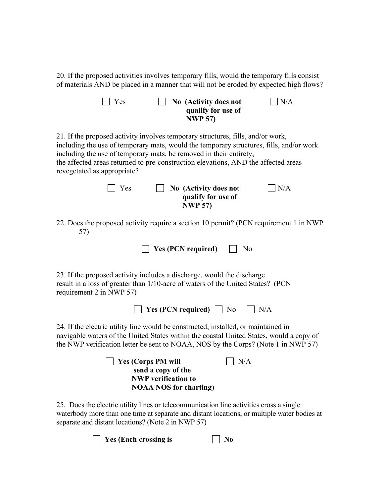20. If the proposed activities involves temporary fills, would the temporary fills consist of materials AND be placed in a manner that will not be eroded by expected high flows?

| N/A<br>Yes<br>No (Activity does not<br>qualify for use of<br><b>NWP 57)</b>                                                                                                                                                                                                                                                                                           |
|-----------------------------------------------------------------------------------------------------------------------------------------------------------------------------------------------------------------------------------------------------------------------------------------------------------------------------------------------------------------------|
| 21. If the proposed activity involves temporary structures, fills, and/or work,<br>including the use of temporary mats, would the temporary structures, fills, and/or work<br>including the use of temporary mats, be removed in their entirety,<br>the affected areas returned to pre-construction elevations, AND the affected areas<br>revegetated as appropriate? |
| Yes<br>N/A<br>No (Activity does not<br>qualify for use of<br><b>NWP 57)</b>                                                                                                                                                                                                                                                                                           |
| 22. Does the proposed activity require a section 10 permit? (PCN requirement 1 in NWP<br>57)                                                                                                                                                                                                                                                                          |
| <b>Yes (PCN required)</b><br>No                                                                                                                                                                                                                                                                                                                                       |
| 23. If the proposed activity includes a discharge, would the discharge<br>result in a loss of greater than 1/10-acre of waters of the United States? (PCN<br>requirement 2 in NWP 57)                                                                                                                                                                                 |
| <b>Yes (PCN required)</b> $\Box$ No<br>$ $   N/A                                                                                                                                                                                                                                                                                                                      |
| 24. If the electric utility line would be constructed, installed, or maintained in<br>navigable waters of the United States within the coastal United States, would a copy of<br>the NWP verification letter be sent to NOAA, NOS by the Corps? (Note 1 in NWP 57)                                                                                                    |
| N/A<br><b>Yes (Corps PM will</b><br>send a copy of the<br><b>NWP</b> verification to<br><b>NOAA NOS for charting)</b>                                                                                                                                                                                                                                                 |
| 25. Does the electric utility lines or telecommunication line activities cross a single<br>waterbody more than one time at separate and distant locations, or multiple water bodies at                                                                                                                                                                                |

**Yes (Each crossing is No**

separate and distant locations? (Note 2 in NWP 57)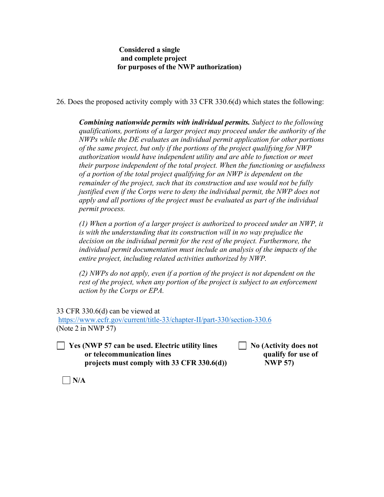# **Considered a single and complete project for purposes of the NWP authorization)**

26. Does the proposed activity comply with 33 CFR 330.6(d) which states the following:

*Combining nationwide permits with individual permits. Subject to the following qualifications, portions of a larger project may proceed under the authority of the NWPs while the DE evaluates an individual permit application for other portions of the same project, but only if the portions of the project qualifying for NWP authorization would have independent utility and are able to function or meet their purpose independent of the total project. When the functioning or usefulness of a portion of the total project qualifying for an NWP is dependent on the remainder of the project, such that its construction and use would not be fully justified even if the Corps were to deny the individual permit, the NWP does not apply and all portions of the project must be evaluated as part of the individual permit process.* 

*(1) When a portion of a larger project is authorized to proceed under an NWP, it is with the understanding that its construction will in no way prejudice the decision on the individual permit for the rest of the project. Furthermore, the individual permit documentation must include an analysis of the impacts of the entire project, including related activities authorized by NWP.* 

*(2) NWPs do not apply, even if a portion of the project is not dependent on the rest of the project, when any portion of the project is subject to an enforcement action by the Corps or EPA.*

33 CFR 330.6(d) can be viewed at

<https://www.ecfr.gov/current/title-33/chapter-II/part-330/section-330.6> (Note 2 in NWP 57)

 **Yes (NWP 57 can be used. Electric utility lines No (Activity does not or telecommunication lines qualify for use of** projects must comply with 33 CFR 330.6(d) NWP 57)

 $\Box$  N/A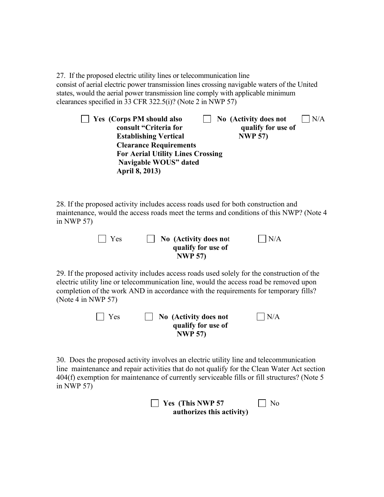27. If the proposed electric utility lines or telecommunication line consist of aerial electric power transmission lines crossing navigable waters of the United states, would the aerial power transmission line comply with applicable minimum clearances specified in 33 CFR 322.5(i)? (Note 2 in NWP 57)

| Yes (Corps PM should also                | N/A<br>No (Activity does not |
|------------------------------------------|------------------------------|
| consult "Criteria for                    | qualify for use of           |
| <b>Establishing Vertical</b>             | <b>NWP 57)</b>               |
| <b>Clearance Requirements</b>            |                              |
| <b>For Aerial Utility Lines Crossing</b> |                              |
| Navigable WOUS" dated                    |                              |
| April 8, 2013)                           |                              |

28. If the proposed activity includes access roads used for both construction and maintenance, would the access roads meet the terms and conditions of this NWP? (Note 4 in NWP 57)

| $\vert$   Yes | $\vert$ No (Activity does not | N/A |
|---------------|-------------------------------|-----|
|               | qualify for use of            |     |
|               | <b>NWP 57)</b>                |     |

29. If the proposed activity includes access roads used solely for the construction of the electric utility line or telecommunication line, would the access road be removed upon completion of the work AND in accordance with the requirements for temporary fills? (Note 4 in NWP 57)

| Yes | No (Activity does not | $ $ $ $ N/A |
|-----|-----------------------|-------------|
|     | qualify for use of    |             |
|     | <b>NWP 57)</b>        |             |

30. Does the proposed activity involves an electric utility line and telecommunication line maintenance and repair activities that do not qualify for the Clean Water Act section 404(f) exemption for maintenance of currently serviceable fills or fill structures? (Note 5 in NWP 57)

**Yes (This NWP 57** No **authorizes this activity)**